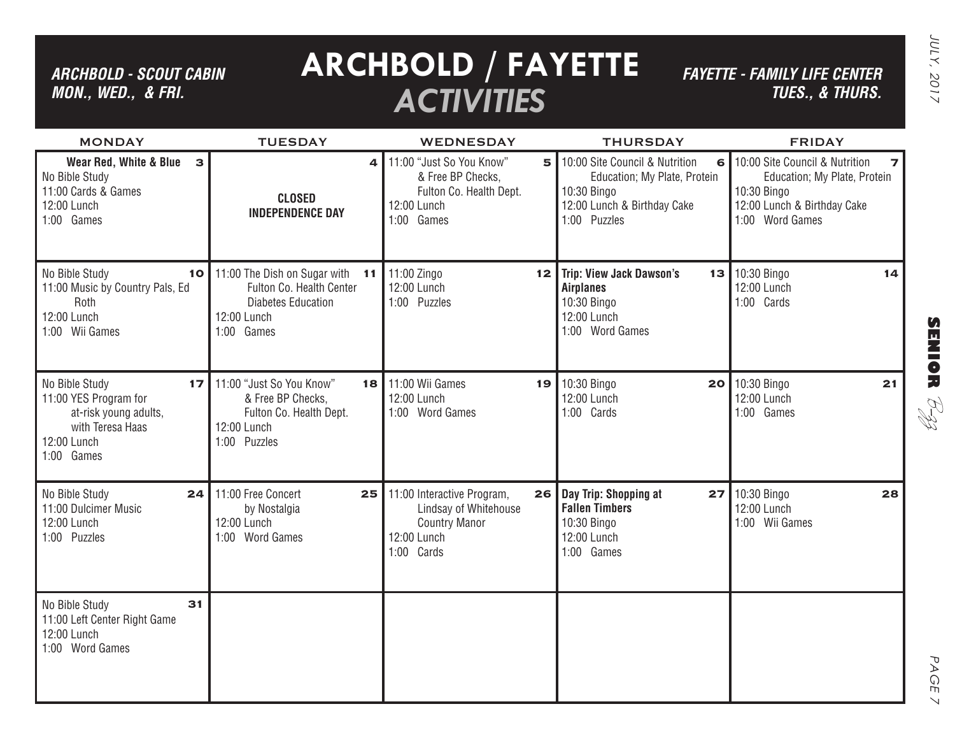### *ARCHBOLD - SCOUT CABIN MON., WED., & FRI.*

MONDAY

# **ARCHBOLD / FAYETTE** *ACTIVITIES*

TUESDAY WEDNESDAY THURSDAY FRIDAY

*FAYETTE - FAMILY LIFE CENTER TUES., & THURS.* JULY, 2017

JULY, 2017

| 14 |               |
|----|---------------|
|    |               |
|    |               |
|    |               |
|    |               |
|    | SEN 10 R      |
| 21 |               |
|    | $\mathcal{X}$ |
|    |               |
|    |               |
|    |               |

| Wear Red, White & Blue<br>No Bible Study<br>11:00 Cards & Games<br>12:00 Lunch<br>1:00 Games                      | $\mathbf{B}$<br><b>CLOSED</b><br><b>INDEPENDENCE DAY</b>                                                                 | 4  | 11:00 "Just So You Know"<br>& Free BP Checks,<br>Fulton Co. Health Dept.<br>12:00 Lunch<br>1:00 Games    | 5               | 10:00 Site Council & Nutrition<br>6<br>Education; My Plate, Protein<br>10:30 Bingo<br>12:00 Lunch & Birthday Cake<br>1:00 Puzzles | 10:00 Site Council & Nutrition<br>Education; My Plate, Protein<br>10:30 Bingo<br>12:00 Lunch & Birthday Cake<br>1:00 Word Games | 7  |
|-------------------------------------------------------------------------------------------------------------------|--------------------------------------------------------------------------------------------------------------------------|----|----------------------------------------------------------------------------------------------------------|-----------------|-----------------------------------------------------------------------------------------------------------------------------------|---------------------------------------------------------------------------------------------------------------------------------|----|
| No Bible Study<br>11:00 Music by Country Pals, Ed<br>Roth<br>12:00 Lunch<br>1:00 Wii Games                        | 11:00 The Dish on Sugar with<br>10<br>Fulton Co. Health Center<br><b>Diabetes Education</b><br>12:00 Lunch<br>1:00 Games | 11 | 11:00 Zingo<br>12:00 Lunch<br>1:00 Puzzles                                                               | 12 <sub>1</sub> | <b>Trip: View Jack Dawson's</b><br>13 <br><b>Airplanes</b><br>10:30 Bingo<br>12:00 Lunch<br>1:00 Word Games                       | 10:30 Bingo<br>12:00 Lunch<br>1:00 Cards                                                                                        | 14 |
| No Bible Study<br>11:00 YES Program for<br>at-risk young adults,<br>with Teresa Haas<br>12:00 Lunch<br>1:00 Games | 11:00 "Just So You Know"<br>17<br>& Free BP Checks,<br>Fulton Co. Health Dept.<br>12:00 Lunch<br>1:00 Puzzles            | 18 | 11:00 Wii Games<br>12:00 Lunch<br>1:00 Word Games                                                        |                 | 19 10:30 Bingo<br>20<br>12:00 Lunch<br>1:00 Cards                                                                                 | 10:30 Bingo<br>12:00 Lunch<br>1:00 Games                                                                                        | 21 |
| No Bible Study<br>11:00 Dulcimer Music<br>12:00 Lunch<br>1:00 Puzzles                                             | 11:00 Free Concert<br>24<br>by Nostalgia<br>12:00 Lunch<br>1:00 Word Games                                               | 25 | 11:00 Interactive Program,<br>Lindsay of Whitehouse<br><b>Country Manor</b><br>12:00 Lunch<br>1:00 Cards | 26              | Day Trip: Shopping at<br>27<br><b>Fallen Timbers</b><br>10:30 Bingo<br>12:00 Lunch<br>1:00 Games                                  | 10:30 Bingo<br>12:00 Lunch<br>1:00 Wii Games                                                                                    | 28 |
| No Bible Study<br>11:00 Left Center Right Game<br>12:00 Lunch<br>1:00 Word Games                                  | 31                                                                                                                       |    |                                                                                                          |                 |                                                                                                                                   |                                                                                                                                 |    |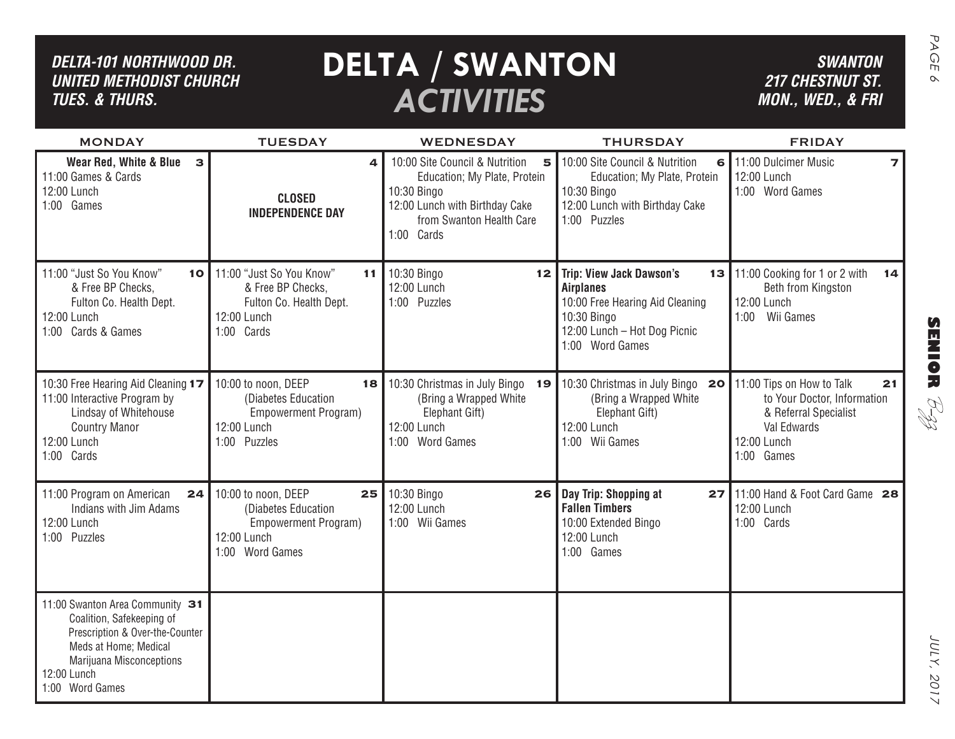| DELTA-101 NORTHWOOD DR.<br><b>UNITED METHODIST CHURCH</b><br><b>TUES. &amp; THURS.</b>                                                                                                        |                                                                                                                      | <b>DELTA / SWANTON</b><br><b>ACTIVITIES</b>                                                                                                                    |                                                                                                                                                          | <b>SWANTON</b><br><b>217 CHESTNUT ST.</b><br>MON., WED., & FRI                                                                      |
|-----------------------------------------------------------------------------------------------------------------------------------------------------------------------------------------------|----------------------------------------------------------------------------------------------------------------------|----------------------------------------------------------------------------------------------------------------------------------------------------------------|----------------------------------------------------------------------------------------------------------------------------------------------------------|-------------------------------------------------------------------------------------------------------------------------------------|
| <b>MONDAY</b>                                                                                                                                                                                 | <b>TUESDAY</b>                                                                                                       | <b>WEDNESDAY</b>                                                                                                                                               | <b>THURSDAY</b>                                                                                                                                          | <b>FRIDAY</b>                                                                                                                       |
| Wear Red, White & Blue<br>$\mathbf{3}$<br>11:00 Games & Cards<br>12:00 Lunch<br>1:00 Games                                                                                                    | 4<br><b>CLOSED</b><br><b>INDEPENDENCE DAY</b>                                                                        | 10:00 Site Council & Nutrition<br>5<br>Education; My Plate, Protein<br>10:30 Bingo<br>12:00 Lunch with Birthday Cake<br>from Swanton Health Care<br>1:00 Cards | 10:00 Site Council & Nutrition<br>6<br>Education; My Plate, Protein<br>10:30 Bingo<br>12:00 Lunch with Birthday Cake<br>1:00 Puzzles                     | 11:00 Dulcimer Music<br>12:00 Lunch<br>1:00 Word Games                                                                              |
| 11:00 "Just So You Know"<br>10<br>& Free BP Checks,<br>Fulton Co. Health Dept.<br>12:00 Lunch<br>1:00 Cards & Games                                                                           | 11:00 "Just So You Know"<br>11<br>& Free BP Checks,<br>Fulton Co. Health Dept.<br>12:00 Lunch<br>1:00 Cards          | 10:30 Bingo<br>12 <sub>1</sub><br>12:00 Lunch<br>1:00 Puzzles                                                                                                  | <b>Trip: View Jack Dawson's</b><br><b>Airplanes</b><br>10:00 Free Hearing Aid Cleaning<br>10:30 Bingo<br>12:00 Lunch - Hot Dog Picnic<br>1:00 Word Games | 13 11:00 Cooking for 1 or 2 with<br>14<br>Beth from Kingston<br>12:00 Lunch<br>Wii Games<br>1:00                                    |
| 10:30 Free Hearing Aid Cleaning 17<br>11:00 Interactive Program by<br>Lindsay of Whitehouse<br><b>Country Manor</b><br>12:00 Lunch<br>1:00 Cards                                              | 10:00 to noon, DEEP<br>18<br>(Diabetes Education<br>Empowerment Program)<br>12:00 Lunch<br>1:00 Puzzles              | 10:30 Christmas in July Bingo<br>19<br>(Bring a Wrapped White<br>Elephant Gift)<br>12:00 Lunch<br>1:00 Word Games                                              | 10:30 Christmas in July Bingo<br>20<br>(Bring a Wrapped White)<br>Elephant Gift)<br>12:00 Lunch<br>1:00 Wii Games                                        | 11:00 Tips on How to Talk<br>21<br>to Your Doctor, Information<br>& Referral Specialist<br>Val Edwards<br>12:00 Lunch<br>1:00 Games |
| 11:00 Program on American<br>24<br>Indians with Jim Adams<br>12:00 Lunch<br>1:00 Puzzles                                                                                                      | 10:00 to noon, DEEP<br>25<br>(Diabetes Education<br>Empowerment Program)<br>12:00 Lunch<br><b>Word Games</b><br>1:00 | 10:30 Bingo<br>26 I<br>12:00 Lunch<br>1:00 Wii Games                                                                                                           | Day Trip: Shopping at<br>27<br><b>Fallen Timbers</b><br>10:00 Extended Bingo<br>12:00 Lunch<br>1:00 Games                                                | 11:00 Hand & Foot Card Game 28<br>12:00 Lunch<br>1:00 Cards                                                                         |
| 11:00 Swanton Area Community 31<br>Coalition, Safekeeping of<br>Prescription & Over-the-Counter<br>Meds at Home; Medical<br><b>Marijuana Misconceptions</b><br>12:00 Lunch<br>1:00 Word Games |                                                                                                                      |                                                                                                                                                                |                                                                                                                                                          |                                                                                                                                     |